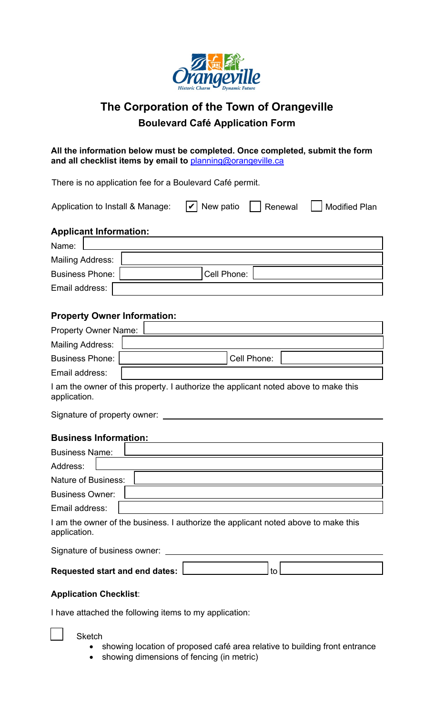

# **The Corporation of the Town of Orangeville Boulevard Café Application Form**

**All the information below must be completed. Once completed, submit the form and all checklist items by email to** planning@orangeville.ca

There is no application fee for a Boulevard Café permit.

| Application to Install & Manage: | $ \mathbf{v} $ New patio | Renewal | <b>Modified Plan</b> |
|----------------------------------|--------------------------|---------|----------------------|
| <b>Applicant Information:</b>    |                          |         |                      |
| Name:                            |                          |         |                      |
| <b>Mailing Address:</b>          |                          |         |                      |
| <b>Business Phone:</b>           | Cell Phone:              |         |                      |
| Email address:                   |                          |         |                      |

## **Property Owner Information:**

| <b>Property Owner Name:</b> |             |
|-----------------------------|-------------|
| <b>Mailing Address:</b>     |             |
| Business Phone:             | Cell Phone: |
| Email address:              |             |
|                             |             |

I am the owner of this property. I authorize the applicant noted above to make this application.

Signature of property owner:

## **Business Information:**

| <b>Business Name:</b>  |                                                                                  |
|------------------------|----------------------------------------------------------------------------------|
| Address:               |                                                                                  |
| Nature of Business:    |                                                                                  |
| <b>Business Owner:</b> |                                                                                  |
| Email address:         |                                                                                  |
|                        | I am the owner of the business I authorize the annicant noted above to make this |

I am the owner of the business. I authorize the applicant noted above to make this application.

Signature of business owner: \_

| <b>Requested start and end dates:</b> |  |
|---------------------------------------|--|
|                                       |  |

### **Application Checklist**:

I have attached the following items to my application:

#### **Sketch**

- showing location of proposed café area relative to building front entrance
- showing dimensions of fencing (in metric)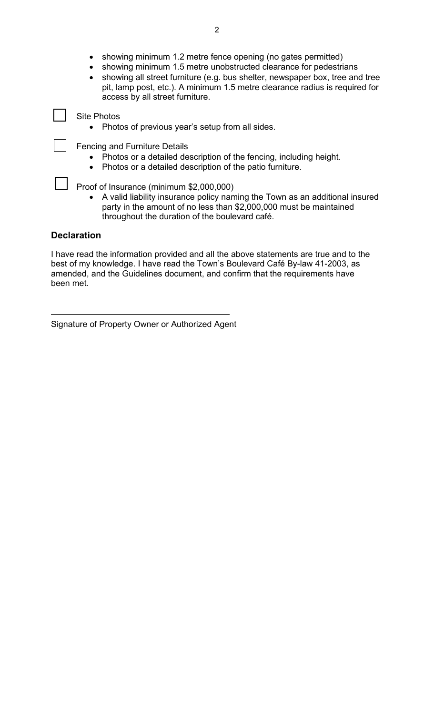- showing minimum 1.2 metre fence opening (no gates permitted)
- showing minimum 1.5 metre unobstructed clearance for pedestrians
- showing all street furniture (e.g. bus shelter, newspaper box, tree and tree pit, lamp post, etc.). A minimum 1.5 metre clearance radius is required for access by all street furniture.

Site Photos

• Photos of previous year's setup from all sides.

Fencing and Furniture Details

- Photos or a detailed description of the fencing, including height.
- Photos or a detailed description of the patio furniture.

Proof of Insurance (minimum \$2,000,000)

• A valid liability insurance policy naming the Town as an additional insured party in the amount of no less than \$2,000,000 must be maintained throughout the duration of the boulevard café.

### **Declaration**

I have read the information provided and all the above statements are true and to the best of my knowledge. I have read the Town's Boulevard Café By-law 41-2003, as amended, and the Guidelines document, and confirm that the requirements have been met.

Signature of Property Owner or Authorized Agent